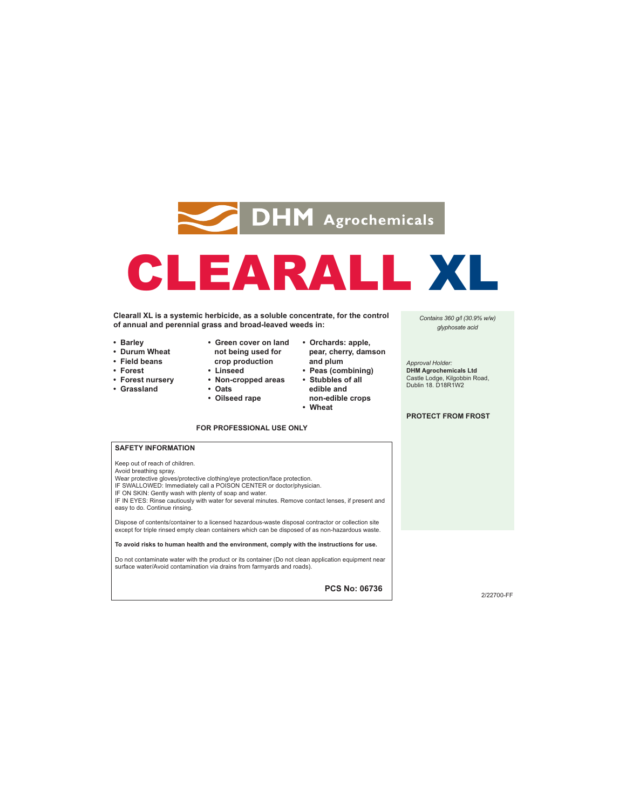

# CLEARALL XL

**Clearall XL is a systemic herbicide, as a soluble concentrate, for the control of annual and perennial grass and broad-leaved weeds in:**

- **Barley**
- **Durum Wheat**
- **Field beans**
- **Forest**
- **Forest nursery**
- **Grassland**
- **Green cover on land not being used for crop production**
- **Linseed • Non-cropped areas**
- **Oats**
- **Oilseed rape**
- **Orchards: apple, pear, cherry, damson and plum**
- **Peas (combining) • Stubbles of all**
- 
- **non-edible crops**
- 

### **FOR PROFESSIONAL USE ONLY**

- **edible and**
- **Wheat**
- *Contains 360 g/l (30.9% w/w) glyphosate acid*

*Approval Holder:*  **DHM Agrochemicals Ltd**  Castle Lodge, Kilgobbin Road, Dublin 18. D18R1W2

### **PROTECT FROM FROST**

## **SAFETY INFORMATION**

Keep out of reach of children.

Avoid breathing spray.

- Wear protective gloves/protective clothing/eye protection/face protection.
- IF SWALLOWED: Immediately call a POISON CENTER or doctor/physician.
- 

IF ON SKIN: Gently wash with plenty of soap and water. IF IN EYES: Rinse cautiously with water for several minutes. Remove contact lenses, if present and easy to do. Continue rinsing.

Dispose of contents/container to a licensed hazardous-waste disposal contractor or collection site except for triple rinsed empty clean containers which can be disposed of as non-hazardous waste.

**To avoid risks to human health and the environment, comply with the instructions for use.** 

Do not contaminate water with the product or its container (Do not clean application equipment near surface water/Avoid contamination via drains from farmyards and roads).

**PCS No: 06736**

2/22700-FF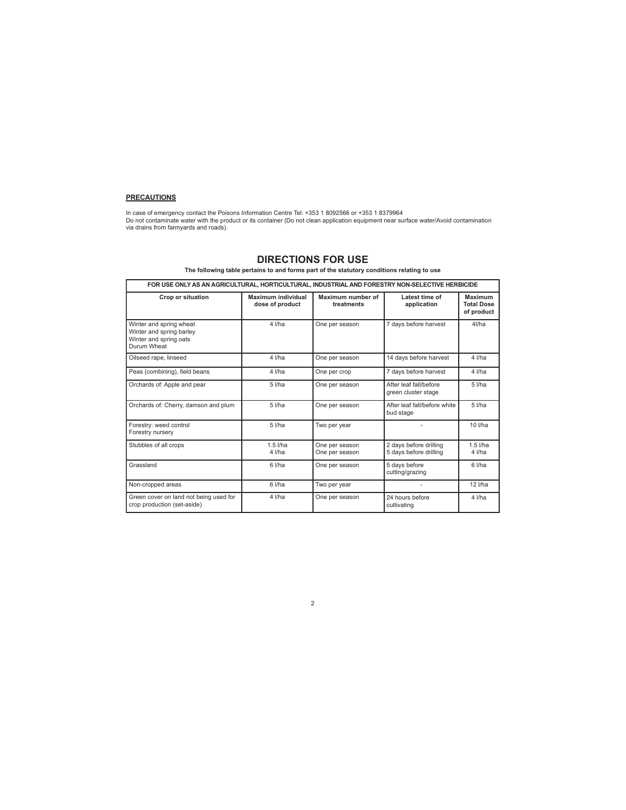# **PRECAUTIONS**

In case of emergency contact the Poisons Information Centre Tel: +353 1 8092566 or +353 1 8379964<br>Do not contaminate water with the product or its container (Do not clean application equipment near surface water/Avoid cont

# **DIRECTIONS FOR USE**

**The following table pertains to and forms part of the statutory conditions relating to use**

| FOR USE ONLY AS AN AGRICULTURAL. HORTICULTURAL. INDUSTRIAL AND FORESTRY NON-SELECTIVE HERBICIDE |                                       |                                  |                                                  |                                                   |
|-------------------------------------------------------------------------------------------------|---------------------------------------|----------------------------------|--------------------------------------------------|---------------------------------------------------|
| Crop or situation                                                                               | Maximum individual<br>dose of product | Maximum number of<br>treatments  | Latest time of<br>application                    | <b>Maximum</b><br><b>Total Dose</b><br>of product |
| Winter and spring wheat<br>Winter and spring barley<br>Winter and spring oats<br>Durum Wheat    | $4$ I/ha                              | One per season                   | 7 days before harvest                            | $4$ I/ha                                          |
| Oilseed rape, linseed                                                                           | $4$ I/ha                              | One per season                   | 14 days before harvest                           | 4 I/ha                                            |
| Peas (combining), field beans                                                                   | $4$ I/ha                              | One per crop                     | 7 days before harvest                            | 4 I/ha                                            |
| Orchards of: Apple and pear                                                                     | $5$ I/ha                              | One per season                   | After leaf fall/hefore<br>green cluster stage    | $5$ $I/ha$                                        |
| Orchards of: Cherry, damson and plum                                                            | $5$ $I/ha$                            | One per season                   | After leaf fall/before white<br>bud stage        | $5$ $I/ha$                                        |
| Forestry: weed control<br>Forestry nursery                                                      | $5$ I/ha                              | Two per year                     |                                                  | $10$ I/ha                                         |
| Stubbles of all crops                                                                           | $1.5$ I/ha<br>$4$ I/ha                | One per season<br>One per season | 2 days before drilling<br>5 days before drilling | $1.5$ $I/ha$<br>4 I/ha                            |
| Grassland                                                                                       | 6 l/ha                                | One per season                   | 5 days before<br>cutting/grazing                 | 6 l/ha                                            |
| Non-cropped areas                                                                               | 6 l/ha                                | Two per year                     |                                                  | $12$ I/ha                                         |
| Green cover on land not being used for<br>crop production (set-aside)                           | $4$ I/ha                              | One per season                   | 24 hours before<br>cultivating                   | 4 I/ha                                            |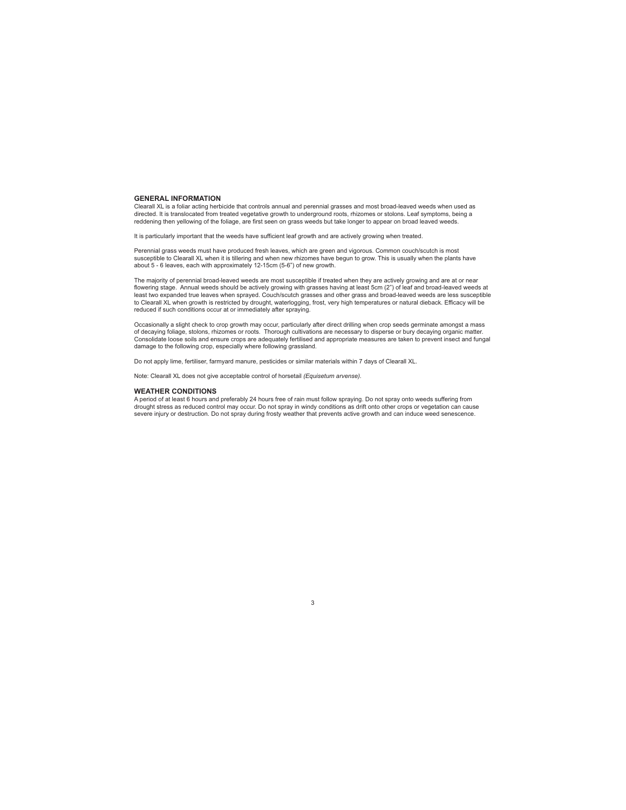#### **GENERAL INFORMATION**

Clearall XL is a foliar acting herbicide that controls annual and perennial grasses and most broad-leaved weeds when used as<br>directed. It is translocated from treated vegetative growth to underground roots, rhizomes or sto reddening then yellowing of the foliage, are first seen on grass weeds but take longer to appear on broad leaved weeds.

It is particularly important that the weeds have sufficient leaf growth and are actively growing when treated.

Perennial grass weeds must have produced fresh leaves, which are green and vigorous. Common couch/scutch is most susceptible to Clearall XL when it is tillering and when new rhizomes have begun to grow. This is usually when the plants have<br>about 5 - 6 leaves, each with approximately 12-15cm (5-6") of new growth.

The majority of perennial broad-leaved weeds are most susceptible if treated when they are actively growing and are at or near flowering stage. Annual weeds should be actively growing with grasses having at least 5cm (2") of leaf and broad-leaved weeds at<br>least two expanded true leaves when sprayed. Couch/scutch grasses and other grass and broadreduced if such conditions occur at or immediately after spraying.

Occasionally a slight check to crop growth may occur, particularly after direct drilling when crop seeds germinate amongst a mass of decaying foliage, stolons, rhizomes or roots. Thorough cultivations are necessary to disperse or bury decaying organic matter. Consolidate loose soils and ensure crops are adequately fertilised and appropriate measures are taken to prevent insect and fungal damage to the following crop, especially where following grassland.

Do not apply lime, fertiliser, farmyard manure, pesticides or similar materials within 7 days of Clearall XL.

Note: Clearall XL does not give acceptable control of horsetail *(Equisetum arvense).*

#### **WEATHER CONDITIONS**

A period of at least 6 hours and preferably 24 hours free of rain must follow spraying. Do not spray onto weeds suffering from drought stress as reduced control may occur. Do not spray in windy conditions as drift onto other crops or vegetation can cause severe injury or destruction. Do not spray during frosty weather that prevents active growth and can induce weed senescence.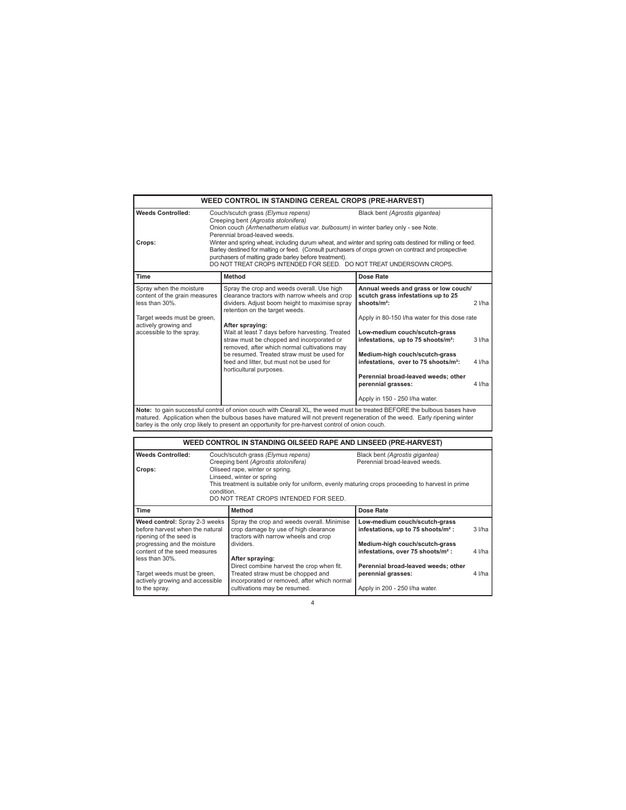|                                                                                                                                                               |                                                                                                                                                                                                                                                                                                                                                                                                                                                                                                                                                                                                                                                                                                                                                                                                                                                                                                                                                                                                                                                                                                                                                                      | <b>WEED CONTROL IN STANDING CEREAL CROPS (PRE-HARVEST)</b>                                                                                                                       |                                                                                                                                                                    |                      |
|---------------------------------------------------------------------------------------------------------------------------------------------------------------|----------------------------------------------------------------------------------------------------------------------------------------------------------------------------------------------------------------------------------------------------------------------------------------------------------------------------------------------------------------------------------------------------------------------------------------------------------------------------------------------------------------------------------------------------------------------------------------------------------------------------------------------------------------------------------------------------------------------------------------------------------------------------------------------------------------------------------------------------------------------------------------------------------------------------------------------------------------------------------------------------------------------------------------------------------------------------------------------------------------------------------------------------------------------|----------------------------------------------------------------------------------------------------------------------------------------------------------------------------------|--------------------------------------------------------------------------------------------------------------------------------------------------------------------|----------------------|
| <b>Weeds Controlled:</b><br>Crops:                                                                                                                            | Black bent (Agrostis gigantea)<br>Couch/scutch grass (Elymus repens)<br>Creeping bent (Agrostis stolonifera)<br>Onion couch (Arrhenatherum elatius var. bulbosum) in winter barley only - see Note.<br>Perennial broad-leaved weeds.<br>Winter and spring wheat, including durum wheat, and winter and spring oats destined for milling or feed.<br>Barley destined for malting or feed. (Consult purchasers of crops grown on contract and prospective<br>purchasers of malting grade barley before treatment).<br>DO NOT TREAT CROPS INTENDED FOR SEED. DO NOT TREAT UNDERSOWN CROPS.                                                                                                                                                                                                                                                                                                                                                                                                                                                                                                                                                                              |                                                                                                                                                                                  |                                                                                                                                                                    |                      |
| Time                                                                                                                                                          |                                                                                                                                                                                                                                                                                                                                                                                                                                                                                                                                                                                                                                                                                                                                                                                                                                                                                                                                                                                                                                                                                                                                                                      | Method                                                                                                                                                                           | Dose Rate                                                                                                                                                          |                      |
| Spray when the moisture<br>content of the grain measures<br>less than 30%.<br>Target weeds must be green,<br>actively growing and<br>accessible to the spray. | Spray the crop and weeds overall. Use high<br>Annual weeds and grass or low couch/<br>clearance tractors with narrow wheels and crop<br>scutch grass infestations up to 25<br>shoots/m <sup>2</sup> :<br>dividers. Adjust boom height to maximise spray<br>retention on the target weeds.<br>Apply in 80-150 I/ha water for this dose rate<br>After spraying:<br>Wait at least 7 days before harvesting. Treated<br>Low-medium couch/scutch-grass<br>straw must be chopped and incorporated or<br>infestations, up to 75 shoots/m <sup>2</sup> :<br>removed, after which normal cultivations may<br>be resumed. Treated straw must be used for<br>Medium-high couch/scutch-grass<br>infestations, over to 75 shoots/m <sup>2</sup> :<br>feed and litter, but must not be used for<br>horticultural purposes.<br>Perennial broad-leaved weeds; other<br>perennial grasses:<br>Apply in 150 - 250 I/ha water.<br>Note: to gain successful control of onion couch with Clearall XL, the weed must be treated BEFORE the bulbous bases have<br>matured. Application when the bulbous bases have matured will not prevent regeneration of the weed. Early ripening winter |                                                                                                                                                                                  | $2$ I/ha<br>3 I/ha<br>4 I/ha<br>4 I/ha                                                                                                                             |                      |
|                                                                                                                                                               |                                                                                                                                                                                                                                                                                                                                                                                                                                                                                                                                                                                                                                                                                                                                                                                                                                                                                                                                                                                                                                                                                                                                                                      | barley is the only crop likely to present an opportunity for pre-harvest control of onion couch.                                                                                 |                                                                                                                                                                    |                      |
| WEED CONTROL IN STANDING OILSEED RAPE AND LINSEED (PRE-HARVEST)<br><b>Weeds Controlled:</b><br>Couch/scutch grass (Elymus repens)                             |                                                                                                                                                                                                                                                                                                                                                                                                                                                                                                                                                                                                                                                                                                                                                                                                                                                                                                                                                                                                                                                                                                                                                                      | Black bent (Agrostis gigantea)                                                                                                                                                   |                                                                                                                                                                    |                      |
| Crops:                                                                                                                                                        | Perennial broad-leaved weeds.<br>Creeping bent (Agrostis stolonifera)<br>Oliseed rape, winter or spring.<br>Linseed, winter or spring<br>This treatment is suitable only for uniform, evenly maturing crops proceeding to harvest in prime<br>condition.<br>DO NOT TREAT CROPS INTENDED FOR SEED.                                                                                                                                                                                                                                                                                                                                                                                                                                                                                                                                                                                                                                                                                                                                                                                                                                                                    |                                                                                                                                                                                  |                                                                                                                                                                    |                      |
| Time                                                                                                                                                          |                                                                                                                                                                                                                                                                                                                                                                                                                                                                                                                                                                                                                                                                                                                                                                                                                                                                                                                                                                                                                                                                                                                                                                      | Method                                                                                                                                                                           | Dose Rate                                                                                                                                                          |                      |
| Weed control: Spray 2-3 weeks<br>before harvest when the natural<br>ripening of the seed is<br>progressing and the moisture<br>content of the seed measures   |                                                                                                                                                                                                                                                                                                                                                                                                                                                                                                                                                                                                                                                                                                                                                                                                                                                                                                                                                                                                                                                                                                                                                                      | Spray the crop and weeds overall. Minimise<br>crop damage by use of high clearance<br>tractors with narrow wheels and crop<br>dividers.                                          | Low-medium couch/scutch-grass<br>infestations, up to 75 shoots/m <sup>2</sup> :<br>Medium-high couch/scutch-grass<br>infestations, over 75 shoots/m <sup>2</sup> : | $3$ $I/ha$<br>4 I/ha |
| less than 30%.<br>Target weeds must be green,<br>actively growing and accessible<br>to the spray.                                                             |                                                                                                                                                                                                                                                                                                                                                                                                                                                                                                                                                                                                                                                                                                                                                                                                                                                                                                                                                                                                                                                                                                                                                                      | After spraying:<br>Direct combine harvest the crop when fit.<br>Treated straw must be chopped and<br>incorporated or removed, after which normal<br>cultivations may be resumed. | Perennial broad-leaved weeds; other<br>perennial grasses:<br>Apply in 200 - 250 I/ha water.                                                                        | 4 I/ha               |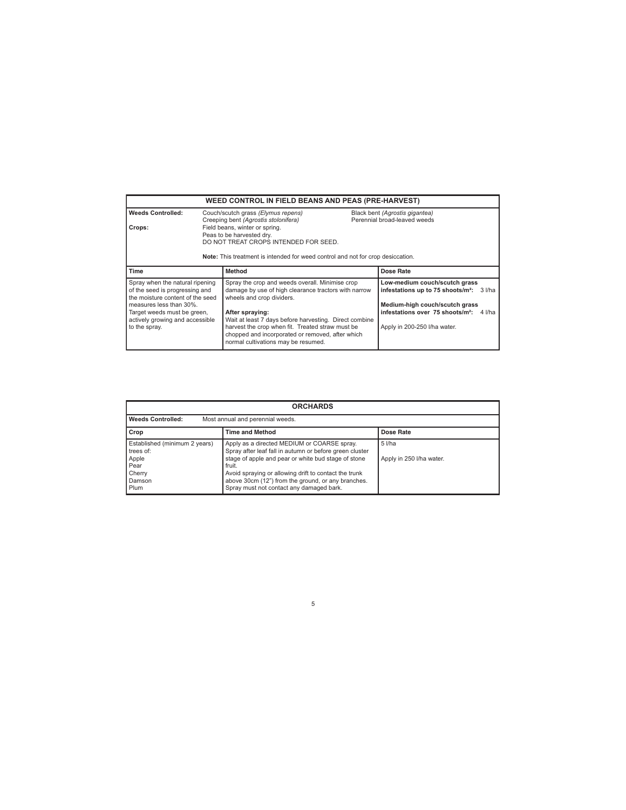| <b>WEED CONTROL IN FIELD BEANS AND PEAS (PRE-HARVEST)</b>                                                                                                                                                           |                                                                                                                                                                                         |                                                                                                                                                                                                                                                                                                                                                                  |  |                                                                                                                                                                                                                      |
|---------------------------------------------------------------------------------------------------------------------------------------------------------------------------------------------------------------------|-----------------------------------------------------------------------------------------------------------------------------------------------------------------------------------------|------------------------------------------------------------------------------------------------------------------------------------------------------------------------------------------------------------------------------------------------------------------------------------------------------------------------------------------------------------------|--|----------------------------------------------------------------------------------------------------------------------------------------------------------------------------------------------------------------------|
| <b>Weeds Controlled:</b>                                                                                                                                                                                            | Couch/scutch grass (Elymus repens)<br>Creeping bent (Agrostis stolonifera)                                                                                                              |                                                                                                                                                                                                                                                                                                                                                                  |  | Black bent (Agrostis gigantea)<br>Perennial broad-leaved weeds                                                                                                                                                       |
| Crops:                                                                                                                                                                                                              | Field beans, winter or spring.<br>Peas to be harvested dry.<br>DO NOT TREAT CROPS INTENDED FOR SEED.<br>Note: This treatment is intended for weed control and not for crop desiccation. |                                                                                                                                                                                                                                                                                                                                                                  |  |                                                                                                                                                                                                                      |
| Time                                                                                                                                                                                                                |                                                                                                                                                                                         | Method                                                                                                                                                                                                                                                                                                                                                           |  | Dose Rate                                                                                                                                                                                                            |
| Spray when the natural ripening<br>of the seed is progressing and<br>the moisture content of the seed<br>measures less than 30%.<br>Target weeds must be green,<br>actively growing and accessible<br>to the spray. |                                                                                                                                                                                         | Spray the crop and weeds overall. Minimise crop<br>damage by use of high clearance tractors with narrow<br>wheels and crop dividers.<br>After spraying:<br>Wait at least 7 days before harvesting. Direct combine<br>harvest the crop when fit. Treated straw must be<br>chopped and incorporated or removed, after which<br>normal cultivations may be resumed. |  | Low-medium couch/scutch grass<br>infestations up to 75 shoots/m <sup>2</sup> :<br>3 l/ha<br>Medium-high couch/scutch grass<br>infestations over 75 shoots/m <sup>2</sup> :<br>4 I/ha<br>Apply in 200-250 I/ha water. |

| <b>ORCHARDS</b>                                                                         |                                                                                                                                                                                                                                                                                                                                    |                                      |  |  |
|-----------------------------------------------------------------------------------------|------------------------------------------------------------------------------------------------------------------------------------------------------------------------------------------------------------------------------------------------------------------------------------------------------------------------------------|--------------------------------------|--|--|
| <b>Weeds Controlled:</b>                                                                | Most annual and perennial weeds.                                                                                                                                                                                                                                                                                                   |                                      |  |  |
| <b>Time and Method</b><br>Crop<br>Dose Rate                                             |                                                                                                                                                                                                                                                                                                                                    |                                      |  |  |
| Established (minimum 2 years)<br>trees of:<br>Apple<br>Pear<br>Cherry<br>Damson<br>Plum | Apply as a directed MEDIUM or COARSE spray.<br>Spray after leaf fall in autumn or before green cluster<br>stage of apple and pear or white bud stage of stone<br>fruit.<br>Avoid spraying or allowing drift to contact the trunk<br>above 30cm (12") from the ground, or any branches.<br>Spray must not contact any damaged bark. | $5$ I/ha<br>Apply in 250 I/ha water. |  |  |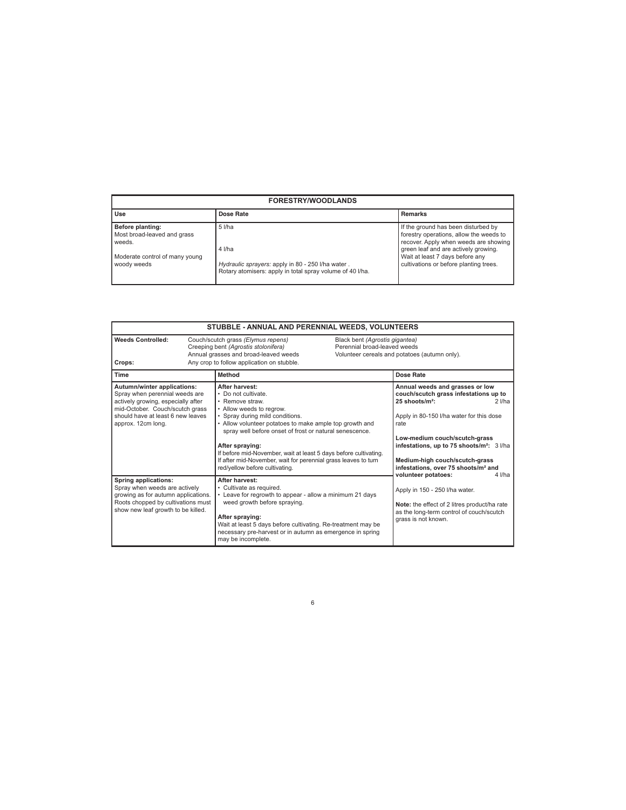| <b>FORESTRY/WOODLANDS</b>                                                                                  |                                                                                                                                      |                                                                                                                                                                                                                                              |  |
|------------------------------------------------------------------------------------------------------------|--------------------------------------------------------------------------------------------------------------------------------------|----------------------------------------------------------------------------------------------------------------------------------------------------------------------------------------------------------------------------------------------|--|
| Use                                                                                                        | Dose Rate                                                                                                                            | <b>Remarks</b>                                                                                                                                                                                                                               |  |
| Before planting:<br>Most broad-leaved and grass<br>weeds.<br>Moderate control of many young<br>woody weeds | $5$ I/ha<br>4 I/ha<br>Hydraulic sprayers: apply in 80 - 250 I/ha water.<br>Rotary atomisers: apply in total spray volume of 40 I/ha. | If the ground has been disturbed by<br>forestry operations, allow the weeds to<br>recover. Apply when weeds are showing<br>green leaf and are actively growing.<br>Wait at least 7 days before any<br>cultivations or before planting trees. |  |

| STUBBLE - ANNUAL AND PERENNIAL WEEDS, VOLUNTEERS                                                                                                                                                        |                                                                                                                                                                                                                                                                                                                                                                                                                                          |                                                                                                                                                                                                                                                                                                                                                       |  |
|---------------------------------------------------------------------------------------------------------------------------------------------------------------------------------------------------------|------------------------------------------------------------------------------------------------------------------------------------------------------------------------------------------------------------------------------------------------------------------------------------------------------------------------------------------------------------------------------------------------------------------------------------------|-------------------------------------------------------------------------------------------------------------------------------------------------------------------------------------------------------------------------------------------------------------------------------------------------------------------------------------------------------|--|
| <b>Weeds Controlled:</b><br>Couch/scutch grass (Elymus repens)<br>Creeping bent (Agrostis stolonifera)<br>Annual grasses and broad-leaved weeds<br>Any crop to follow application on stubble.<br>Crops: |                                                                                                                                                                                                                                                                                                                                                                                                                                          | Black bent (Agrostis gigantea)<br>Perennial broad-leaved weeds<br>Volunteer cereals and potatoes (autumn only).                                                                                                                                                                                                                                       |  |
| Time                                                                                                                                                                                                    | Method                                                                                                                                                                                                                                                                                                                                                                                                                                   | Dose Rate                                                                                                                                                                                                                                                                                                                                             |  |
| Autumn/winter applications:<br>Spray when perennial weeds are<br>actively growing, especially after<br>mid-October. Couch/scutch grass<br>should have at least 6 new leaves<br>approx. 12cm long.       | After harvest:<br>• Do not cultivate.<br>• Remove straw.<br>• Allow weeds to regrow.<br>• Spray during mild conditions.<br>• Allow volunteer potatoes to make ample top growth and<br>spray well before onset of frost or natural senescence.<br>After spraying:<br>If before mid-November, wait at least 5 days before cultivating.<br>If after mid-November, wait for perennial grass leaves to turn<br>red/yellow before cultivating. | Annual weeds and grasses or low<br>couch/scutch grass infestations up to<br>25 shoots/m <sup>2</sup> :<br>$2$ I/ha<br>Apply in 80-150 I/ha water for this dose<br>rate<br>Low-medium couch/scutch-grass<br>infestations, up to 75 shoots/m <sup>2</sup> : 3 l/ha<br>Medium-high couch/scutch-grass<br>infestations, over 75 shoots/m <sup>2</sup> and |  |
| <b>Spring applications:</b><br>Spray when weeds are actively<br>growing as for autumn applications.<br>Roots chopped by cultivations must<br>show new leaf growth to be killed.                         | After harvest:<br>• Cultivate as required.<br>• Leave for regrowth to appear - allow a minimum 21 days<br>weed growth before spraying.<br>After spraying:<br>Wait at least 5 days before cultivating. Re-treatment may be<br>necessary pre-harvest or in autumn as emergence in spring<br>may be incomplete.                                                                                                                             | volunteer potatoes:<br>4 I/ha<br>Apply in 150 - 250 I/ha water.<br>Note: the effect of 2 litres product/ha rate<br>as the long-term control of couch/scutch<br>grass is not known.                                                                                                                                                                    |  |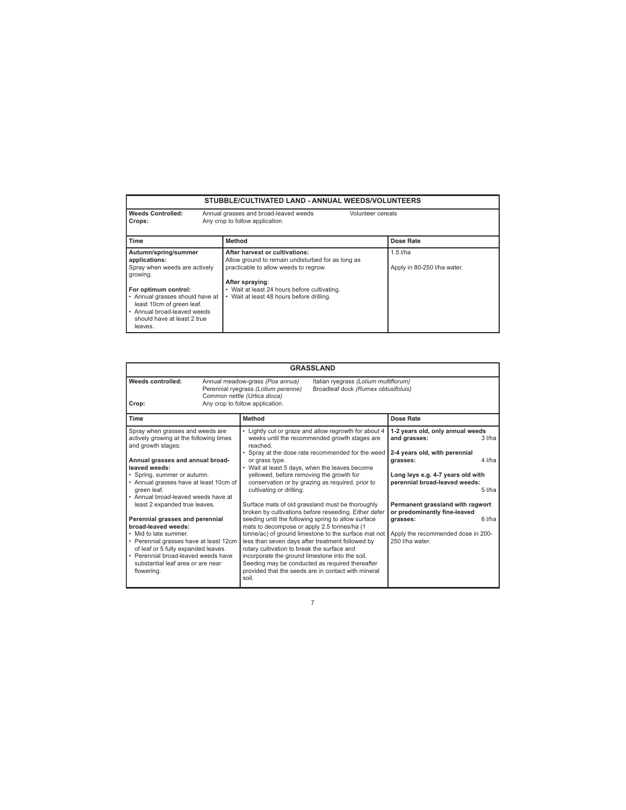# **STUBBLE/CULTIVATED LAND - ANNUAL WEEDS/VOLUNTEERS**

Г

| <b>Weeds Controlled:</b>        | Annual grasses and broad-leaved weeds<br>Volunteer cereals |                             |
|---------------------------------|------------------------------------------------------------|-----------------------------|
| Crops:                          | Any crop to follow application.                            |                             |
|                                 |                                                            |                             |
| Time                            | <b>Method</b>                                              | Dose Rate                   |
| Autumn/spring/summer            | After harvest or cultivations:                             | $1.5$ I/ha                  |
| applications:                   | Allow ground to remain undisturbed for as long as          |                             |
| Spray when weeds are actively   | practicable to allow weeds to regrow.                      | Apply in 80-250 I/ha water. |
| growing.                        |                                                            |                             |
|                                 | After spraying:                                            |                             |
| For optimum control:            | • Wait at least 24 hours before cultivating.               |                             |
| • Annual grasses should have at | • Wait at least 48 hours before drilling.                  |                             |
| least 10cm of green leaf.       |                                                            |                             |
| • Annual broad-leaved weeds     |                                                            |                             |
| should have at least 2 true     |                                                            |                             |
| leaves.                         |                                                            |                             |
|                                 |                                                            |                             |

| <b>GRASSLAND</b>                                                                                                                                                                                        |  |                                                                                                                                                                                                                                                          |                                                                                                                                                         |                                                                                   |            |
|---------------------------------------------------------------------------------------------------------------------------------------------------------------------------------------------------------|--|----------------------------------------------------------------------------------------------------------------------------------------------------------------------------------------------------------------------------------------------------------|---------------------------------------------------------------------------------------------------------------------------------------------------------|-----------------------------------------------------------------------------------|------------|
| Weeds controlled:<br>Crop:                                                                                                                                                                              |  | Annual meadow-grass (Poa annua)<br>Perennial ryegrass (Lolium perenne)<br>Common nettle (Urtica dioca)<br>Any crop to follow application.                                                                                                                | Italian ryegrass (Lolium multiflorum)<br>Broadleaf dock (Rumex obtusifoluis)                                                                            |                                                                                   |            |
| <b>Time</b>                                                                                                                                                                                             |  | Method                                                                                                                                                                                                                                                   |                                                                                                                                                         | Dose Rate                                                                         |            |
| Spray when grasses and weeds are<br>actively growing at the following times<br>and growth stages:                                                                                                       |  | reached                                                                                                                                                                                                                                                  | Lightly cut or graze and allow regrowth for about 4<br>weeks until the recommended growth stages are<br>Spray at the dose rate recommended for the weed | 1-2 years old, only annual weeds<br>and grasses:<br>2-4 years old, with perennial | $3$ $I/ha$ |
| Annual grasses and annual broad-<br>leaved weeds:                                                                                                                                                       |  | or grass type.<br>• Wait at least 5 days, when the leaves become                                                                                                                                                                                         |                                                                                                                                                         | grasses:                                                                          | 4 l/ha     |
| • Spring, summer or autumn.<br>• Annual grasses have at least 10cm of<br>green leaf.<br>• Annual broad-leaved weeds have at                                                                             |  | yellowed, before removing the growth for<br>cultivating or drilling.                                                                                                                                                                                     | conservation or by grazing as required, prior to                                                                                                        | Long leys e.g. 4-7 years old with<br>perennial broad-leaved weeds:                | $5$ $I/ha$ |
| least 2 expanded true leaves.                                                                                                                                                                           |  | Surface mats of old grassland must be thoroughly<br>broken by cultivations before reseeding. Either defer                                                                                                                                                |                                                                                                                                                         | Permanent grassland with ragwort<br>or predominantly fine-leaved                  |            |
| Perennial grasses and perennial<br>broad-leaved weeds:<br>• Mid to late summer.<br>• Perennial grasses have at least 12cm<br>of leaf or 5 fully expanded leaves.<br>• Perennial broad-leaved weeds have |  | seeding until the following spring to allow surface<br>mats to decompose or apply 2.5 tonnes/ha (1<br>less than seven days after treatment followed by<br>rotary cultivation to break the surface and<br>incorporate the ground limestone into the soil. | tonne/ac) of ground limestone to the surface mat not                                                                                                    | arasses:<br>Apply the recommended dose in 200-<br>250 I/ha water.                 | 6 l/ha     |
| substantial leaf area or are near<br>flowering.                                                                                                                                                         |  | Seeding may be conducted as required thereafter<br>provided that the seeds are in contact with mineral<br>soil.                                                                                                                                          |                                                                                                                                                         |                                                                                   |            |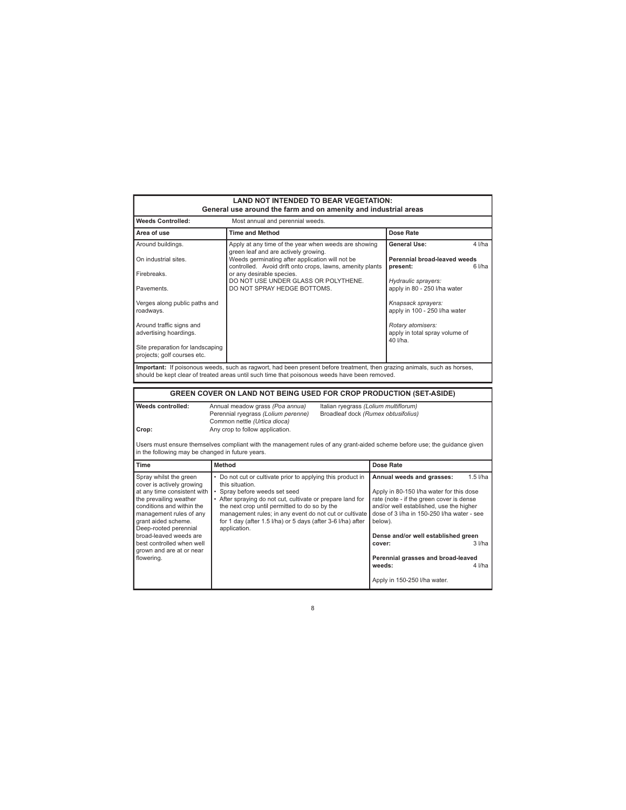| <b>LAND NOT INTENDED TO BEAR VEGETATION:</b><br>General use around the farm and on amenity and industrial areas                                                                                                                                                                                                       |                                                                                                                                                                                                                                                                                                                                                                       |                                                                                                                                                                                                                                                                                                                                                                                              |  |  |  |
|-----------------------------------------------------------------------------------------------------------------------------------------------------------------------------------------------------------------------------------------------------------------------------------------------------------------------|-----------------------------------------------------------------------------------------------------------------------------------------------------------------------------------------------------------------------------------------------------------------------------------------------------------------------------------------------------------------------|----------------------------------------------------------------------------------------------------------------------------------------------------------------------------------------------------------------------------------------------------------------------------------------------------------------------------------------------------------------------------------------------|--|--|--|
| <b>Weeds Controlled:</b><br>Most annual and perennial weeds.                                                                                                                                                                                                                                                          |                                                                                                                                                                                                                                                                                                                                                                       |                                                                                                                                                                                                                                                                                                                                                                                              |  |  |  |
| Area of use                                                                                                                                                                                                                                                                                                           | <b>Time and Method</b>                                                                                                                                                                                                                                                                                                                                                | Dose Rate                                                                                                                                                                                                                                                                                                                                                                                    |  |  |  |
| Around buildings.                                                                                                                                                                                                                                                                                                     | Apply at any time of the year when weeds are showing                                                                                                                                                                                                                                                                                                                  | General Use:<br>$4$ $1/ha$                                                                                                                                                                                                                                                                                                                                                                   |  |  |  |
| On industrial sites.                                                                                                                                                                                                                                                                                                  | green leaf and are actively growing.<br>Weeds germinating after application will not be<br>controlled. Avoid drift onto crops, lawns, amenity plants                                                                                                                                                                                                                  | Perennial broad-leaved weeds<br>$6$ $I/ha$<br>present:                                                                                                                                                                                                                                                                                                                                       |  |  |  |
| Firebreaks.                                                                                                                                                                                                                                                                                                           | or any desirable species.<br>DO NOT USE UNDER GLASS OR POLYTHENE.                                                                                                                                                                                                                                                                                                     | Hydraulic sprayers:                                                                                                                                                                                                                                                                                                                                                                          |  |  |  |
| Pavements.                                                                                                                                                                                                                                                                                                            | DO NOT SPRAY HEDGE BOTTOMS.                                                                                                                                                                                                                                                                                                                                           | apply in 80 - 250 I/ha water                                                                                                                                                                                                                                                                                                                                                                 |  |  |  |
| Verges along public paths and<br>roadways.                                                                                                                                                                                                                                                                            |                                                                                                                                                                                                                                                                                                                                                                       | Knapsack sprayers:<br>apply in 100 - 250 I/ha water                                                                                                                                                                                                                                                                                                                                          |  |  |  |
| Around traffic signs and<br>advertising hoardings.                                                                                                                                                                                                                                                                    |                                                                                                                                                                                                                                                                                                                                                                       | Rotary atomisers:<br>apply in total spray volume of<br>40 l/ha.                                                                                                                                                                                                                                                                                                                              |  |  |  |
| Site preparation for landscaping<br>projects; golf courses etc.                                                                                                                                                                                                                                                       |                                                                                                                                                                                                                                                                                                                                                                       |                                                                                                                                                                                                                                                                                                                                                                                              |  |  |  |
|                                                                                                                                                                                                                                                                                                                       | Important: If poisonous weeds, such as ragwort, had been present before treatment, then grazing animals, such as horses,<br>should be kept clear of treated areas until such time that poisonous weeds have been removed.                                                                                                                                             |                                                                                                                                                                                                                                                                                                                                                                                              |  |  |  |
|                                                                                                                                                                                                                                                                                                                       | GREEN COVER ON LAND NOT BEING USED FOR CROP PRODUCTION (SET-ASIDE)                                                                                                                                                                                                                                                                                                    |                                                                                                                                                                                                                                                                                                                                                                                              |  |  |  |
| <b>Weeds controlled:</b><br>Annual meadow grass (Poa annua)<br>Italian ryegrass (Lolium multiflorum)<br>Perennial ryegrass (Lolium perenne)<br>Broadleaf dock (Rumex obtusifolius)<br>Common nettle (Urtica dioca)<br>Any crop to follow application.<br>Crop:                                                        |                                                                                                                                                                                                                                                                                                                                                                       |                                                                                                                                                                                                                                                                                                                                                                                              |  |  |  |
|                                                                                                                                                                                                                                                                                                                       | Users must ensure themselves compliant with the management rules of any grant-aided scheme before use; the guidance given<br>in the following may be changed in future years.                                                                                                                                                                                         |                                                                                                                                                                                                                                                                                                                                                                                              |  |  |  |
| <b>Time</b>                                                                                                                                                                                                                                                                                                           | <b>Method</b>                                                                                                                                                                                                                                                                                                                                                         | Dose Rate                                                                                                                                                                                                                                                                                                                                                                                    |  |  |  |
| Spray whilst the green<br>cover is actively growing<br>at any time consistent with<br>the prevailing weather<br>conditions and within the<br>management rules of any<br>grant aided scheme.<br>Deep-rooted perennial<br>broad-leaved weeds are<br>best controlled when well<br>grown and are at or near<br>flowering. | • Do not cut or cultivate prior to applying this product in<br>this situation.<br>Spray before weeds set seed<br>• After spraying do not cut, cultivate or prepare land for<br>the next crop until permitted to do so by the<br>management rules; in any event do not cut or cultivate<br>for 1 day (after 1.5 I/ha) or 5 days (after 3-6 I/ha) after<br>application. | $1.5$ I/ha<br>Annual weeds and grasses:<br>Apply in 80-150 I/ha water for this dose<br>rate (note - if the green cover is dense<br>and/or well established, use the higher<br>dose of 3 I/ha in 150-250 I/ha water - see<br>below).<br>Dense and/or well established green<br>$3$ $I/ha$<br>cover:<br>Perennial grasses and broad-leaved<br>weeds:<br>4 I/ha<br>Apply in 150-250 I/ha water. |  |  |  |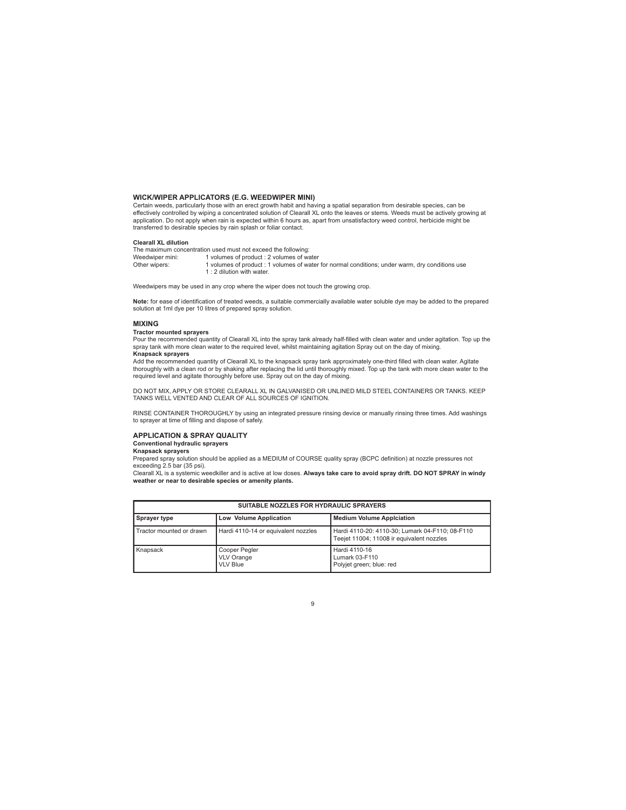#### **WICK/WIPER APPLICATORS (E.G. WEEDWIPER MINI)**

Certain weeds, particularly those with an erect growth habit and having a spatial separation from desirable species, can be effectively controlled by wiping a concentrated solution of Clearall XL onto the leaves or stems. Weeds must be actively growing at application. Do not apply when rain is expected within 6 hours as, apart from unsatisfactory weed control, herbicide might be transferred to desirable species by rain splash or foliar contact.

#### **Clearall XL dilution**

The maximum concentration used must not exceed the following:<br>Weedwiper mini: 1 volumes of product: 2 volumes of wa Weedwiper mini: 1 volumes of product : 2 volumes of water<br>Other wipers: 1 volumes of product : 1 volumes of water<br>Other wipers: 1 volumes of product : 1 volumes of water 1 volumes of product : 1 volumes of water for normal conditions; under warm, dry conditions use 1 : 2 dilution with water.

Weedwipers may be used in any crop where the wiper does not touch the growing crop.

**Note:** for ease of identification of treated weeds, a suitable commercially available water soluble dye may be added to the prepared solution at 1ml dye per 10 litres of prepared spray solution.

#### **MIXING**

**Tractor mounted sprayers**

Pour the recommended quantity of Clearall XL into the spray tank already half-filled with clean water and under agitation. Top up the spray tank with more clean water to the required level, whilst maintaining agitation Spray out on the day of mixing. **Knapsack sprayers**

Add the recommended quantity of Clearall XL to the knapsack spray tank approximately one-third filled with clean water. Agitate thoroughly with a clean rod or by shaking after replacing the lid until thoroughly mixed. Top up the tank with more clean water to the required level and agitate thoroughly before use. Spray out on the day of mixing.

DO NOT MIX, APPLY OR STORE CLEARALL XL IN GALVANISED OR UNLINED MILD STEEL CONTAINERS OR TANKS. KEEP<br>TANKS WELL VENTED AND CLEAR OF ALL SOURCES OF IGNITION.

RINSE CONTAINER THOROUGHLY by using an integrated pressure rinsing device or manually rinsing three times. Add washings to sprayer at time of filling and dispose of safely.

#### **APPLICATION & SPRAY QUALITY Conventional hydraulic sprayers**

# **Knapsack sprayers**

Prepared spray solution should be applied as a MEDIUM of COURSE quality spray (BCPC definition) at nozzle pressures not exceeding 2.5 bar (35 psi).

Clearall XL is a systemic weedkiller and is active at low doses. **Always take care to avoid spray drift. DO NOT SPRAY in windy weather or near to desirable species or amenity plants.** 

| SUITABLE NOZZLES FOR HYDRAULIC SPRAYERS |                                                       |                                                                                              |  |
|-----------------------------------------|-------------------------------------------------------|----------------------------------------------------------------------------------------------|--|
| Sprayer type                            | Low Volume Application                                | <b>Medium Volume Applciation</b>                                                             |  |
| Tractor mounted or drawn                | Hardi 4110-14 or equivalent nozzles                   | Hardi 4110-20: 4110-30; Lumark 04-F110; 08-F110<br>Teejet 11004; 11008 ir equivalent nozzles |  |
| Knapsack                                | Cooper Pegler<br><b>VLV Orange</b><br><b>VLV Blue</b> | Hardi 4110-16<br>Lumark 03-F110<br>Polyjet green; blue: red                                  |  |